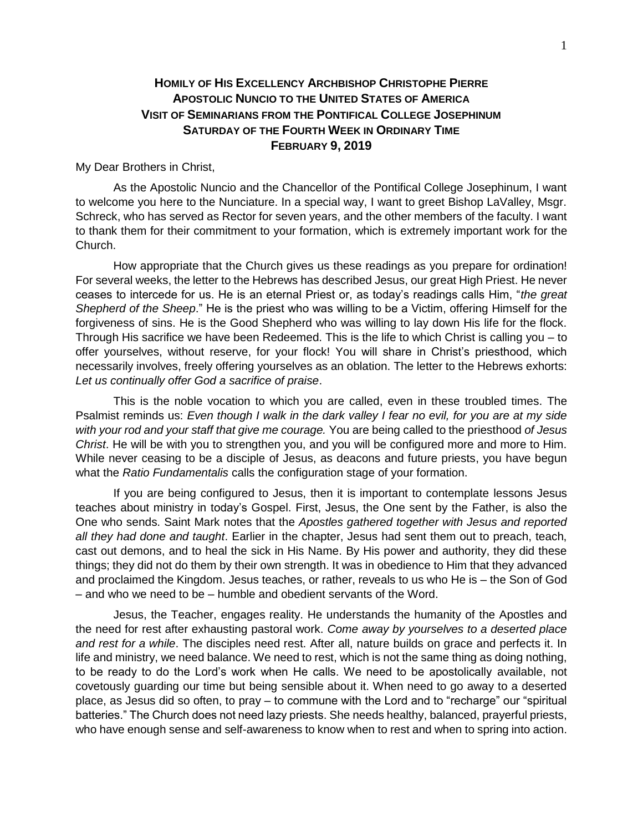## **HOMILY OF HIS EXCELLENCY ARCHBISHOP CHRISTOPHE PIERRE APOSTOLIC NUNCIO TO THE UNITED STATES OF AMERICA VISIT OF SEMINARIANS FROM THE PONTIFICAL COLLEGE JOSEPHINUM SATURDAY OF THE FOURTH WEEK IN ORDINARY TIME FEBRUARY 9, 2019**

## My Dear Brothers in Christ,

As the Apostolic Nuncio and the Chancellor of the Pontifical College Josephinum, I want to welcome you here to the Nunciature. In a special way, I want to greet Bishop LaValley, Msgr. Schreck, who has served as Rector for seven years, and the other members of the faculty. I want to thank them for their commitment to your formation, which is extremely important work for the Church.

How appropriate that the Church gives us these readings as you prepare for ordination! For several weeks, the letter to the Hebrews has described Jesus, our great High Priest. He never ceases to intercede for us. He is an eternal Priest or, as today's readings calls Him, "*the great Shepherd of the Sheep*." He is the priest who was willing to be a Victim, offering Himself for the forgiveness of sins. He is the Good Shepherd who was willing to lay down His life for the flock. Through His sacrifice we have been Redeemed. This is the life to which Christ is calling you – to offer yourselves, without reserve, for your flock! You will share in Christ's priesthood, which necessarily involves, freely offering yourselves as an oblation. The letter to the Hebrews exhorts: *Let us continually offer God a sacrifice of praise*.

This is the noble vocation to which you are called, even in these troubled times. The Psalmist reminds us: *Even though I walk in the dark valley I fear no evil, for you are at my side with your rod and your staff that give me courage.* You are being called to the priesthood *of Jesus Christ*. He will be with you to strengthen you, and you will be configured more and more to Him. While never ceasing to be a disciple of Jesus, as deacons and future priests, you have begun what the *Ratio Fundamentalis* calls the configuration stage of your formation.

If you are being configured to Jesus, then it is important to contemplate lessons Jesus teaches about ministry in today's Gospel. First, Jesus, the One sent by the Father, is also the One who sends. Saint Mark notes that the *Apostles gathered together with Jesus and reported all they had done and taught*. Earlier in the chapter, Jesus had sent them out to preach, teach, cast out demons, and to heal the sick in His Name. By His power and authority, they did these things; they did not do them by their own strength. It was in obedience to Him that they advanced and proclaimed the Kingdom. Jesus teaches, or rather, reveals to us who He is – the Son of God – and who we need to be – humble and obedient servants of the Word.

Jesus, the Teacher, engages reality. He understands the humanity of the Apostles and the need for rest after exhausting pastoral work. *Come away by yourselves to a deserted place and rest for a while*. The disciples need rest. After all, nature builds on grace and perfects it. In life and ministry, we need balance. We need to rest, which is not the same thing as doing nothing, to be ready to do the Lord's work when He calls. We need to be apostolically available, not covetously guarding our time but being sensible about it. When need to go away to a deserted place, as Jesus did so often, to pray – to commune with the Lord and to "recharge" our "spiritual batteries." The Church does not need lazy priests. She needs healthy, balanced, prayerful priests, who have enough sense and self-awareness to know when to rest and when to spring into action.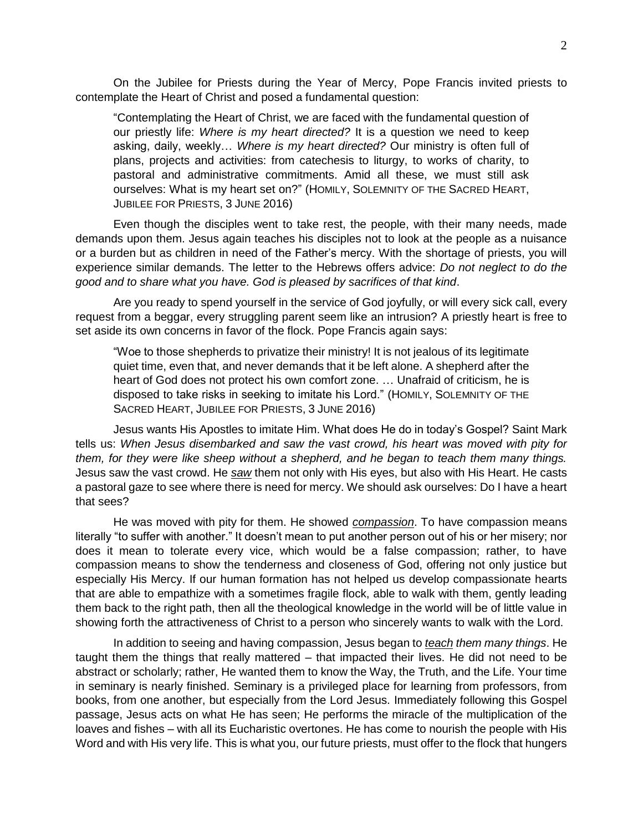On the Jubilee for Priests during the Year of Mercy, Pope Francis invited priests to contemplate the Heart of Christ and posed a fundamental question:

"Contemplating the Heart of Christ, we are faced with the fundamental question of our priestly life: *Where is my heart directed?* It is a question we need to keep asking, daily, weekly… *Where is my heart directed?* Our ministry is often full of plans, projects and activities: from catechesis to liturgy, to works of charity, to pastoral and administrative commitments. Amid all these, we must still ask ourselves: What is my heart set on?" (HOMILY, SOLEMNITY OF THE SACRED HEART, JUBILEE FOR PRIESTS, 3 JUNE 2016)

Even though the disciples went to take rest, the people, with their many needs, made demands upon them. Jesus again teaches his disciples not to look at the people as a nuisance or a burden but as children in need of the Father's mercy. With the shortage of priests, you will experience similar demands. The letter to the Hebrews offers advice: *Do not neglect to do the good and to share what you have. God is pleased by sacrifices of that kind*.

Are you ready to spend yourself in the service of God joyfully, or will every sick call, every request from a beggar, every struggling parent seem like an intrusion? A priestly heart is free to set aside its own concerns in favor of the flock. Pope Francis again says:

"Woe to those shepherds to privatize their ministry! It is not jealous of its legitimate quiet time, even that, and never demands that it be left alone. A shepherd after the heart of God does not protect his own comfort zone. … Unafraid of criticism, he is disposed to take risks in seeking to imitate his Lord." (HOMILY, SOLEMNITY OF THE SACRED HEART, JUBILEE FOR PRIESTS, 3 JUNE 2016)

Jesus wants His Apostles to imitate Him. What does He do in today's Gospel? Saint Mark tells us: *When Jesus disembarked and saw the vast crowd, his heart was moved with pity for them, for they were like sheep without a shepherd, and he began to teach them many things.*  Jesus saw the vast crowd. He *saw* them not only with His eyes, but also with His Heart. He casts a pastoral gaze to see where there is need for mercy. We should ask ourselves: Do I have a heart that sees?

He was moved with pity for them. He showed *compassion*. To have compassion means literally "to suffer with another." It doesn't mean to put another person out of his or her misery; nor does it mean to tolerate every vice, which would be a false compassion; rather, to have compassion means to show the tenderness and closeness of God, offering not only justice but especially His Mercy. If our human formation has not helped us develop compassionate hearts that are able to empathize with a sometimes fragile flock, able to walk with them, gently leading them back to the right path, then all the theological knowledge in the world will be of little value in showing forth the attractiveness of Christ to a person who sincerely wants to walk with the Lord.

In addition to seeing and having compassion, Jesus began to *teach them many things*. He taught them the things that really mattered – that impacted their lives. He did not need to be abstract or scholarly; rather, He wanted them to know the Way, the Truth, and the Life. Your time in seminary is nearly finished. Seminary is a privileged place for learning from professors, from books, from one another, but especially from the Lord Jesus. Immediately following this Gospel passage, Jesus acts on what He has seen; He performs the miracle of the multiplication of the loaves and fishes – with all its Eucharistic overtones. He has come to nourish the people with His Word and with His very life. This is what you, our future priests, must offer to the flock that hungers